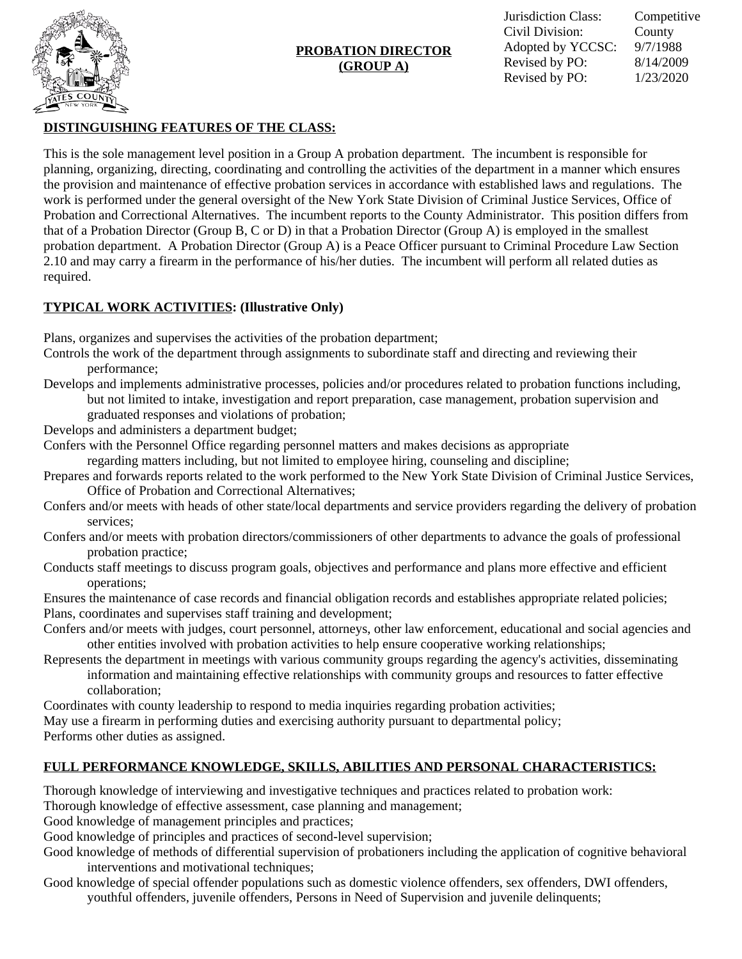

# **PROBATION DIRECTOR (GROUP A)**

# **DISTINGUISHING FEATURES OF THE CLASS:**

This is the sole management level position in a Group A probation department. The incumbent is responsible for planning, organizing, directing, coordinating and controlling the activities of the department in a manner which ensures the provision and maintenance of effective probation services in accordance with established laws and regulations. The work is performed under the general oversight of the New York State Division of Criminal Justice Services, Office of Probation and Correctional Alternatives. The incumbent reports to the County Administrator. This position differs from that of a Probation Director (Group B, C or D) in that a Probation Director (Group A) is employed in the smallest probation department. A Probation Director (Group A) is a Peace Officer pursuant to Criminal Procedure Law Section 2.10 and may carry a firearm in the performance of his/her duties. The incumbent will perform all related duties as required.

# **TYPICAL WORK ACTIVITIES: (Illustrative Only)**

Plans, organizes and supervises the activities of the probation department;

- Controls the work of the department through assignments to subordinate staff and directing and reviewing their performance;
- Develops and implements administrative processes, policies and/or procedures related to probation functions including, but not limited to intake, investigation and report preparation, case management, probation supervision and graduated responses and violations of probation;
- Develops and administers a department budget;
- Confers with the Personnel Office regarding personnel matters and makes decisions as appropriate regarding matters including, but not limited to employee hiring, counseling and discipline;
- Prepares and forwards reports related to the work performed to the New York State Division of Criminal Justice Services, Office of Probation and Correctional Alternatives;
- Confers and/or meets with heads of other state/local departments and service providers regarding the delivery of probation services;
- Confers and/or meets with probation directors/commissioners of other departments to advance the goals of professional probation practice;
- Conducts staff meetings to discuss program goals, objectives and performance and plans more effective and efficient operations;
- Ensures the maintenance of case records and financial obligation records and establishes appropriate related policies; Plans, coordinates and supervises staff training and development;
- Confers and/or meets with judges, court personnel, attorneys, other law enforcement, educational and social agencies and other entities involved with probation activities to help ensure cooperative working relationships;
- Represents the department in meetings with various community groups regarding the agency's activities, disseminating information and maintaining effective relationships with community groups and resources to fatter effective collaboration;

Coordinates with county leadership to respond to media inquiries regarding probation activities;

May use a firearm in performing duties and exercising authority pursuant to departmental policy;

Performs other duties as assigned.

# **FULL PERFORMANCE KNOWLEDGE, SKILLS, ABILITIES AND PERSONAL CHARACTERISTICS:**

Thorough knowledge of interviewing and investigative techniques and practices related to probation work:

Thorough knowledge of effective assessment, case planning and management;

Good knowledge of management principles and practices;

Good knowledge of principles and practices of second-level supervision;

Good knowledge of methods of differential supervision of probationers including the application of cognitive behavioral interventions and motivational techniques;

Good knowledge of special offender populations such as domestic violence offenders, sex offenders, DWI offenders, youthful offenders, juvenile offenders, Persons in Need of Supervision and juvenile delinquents;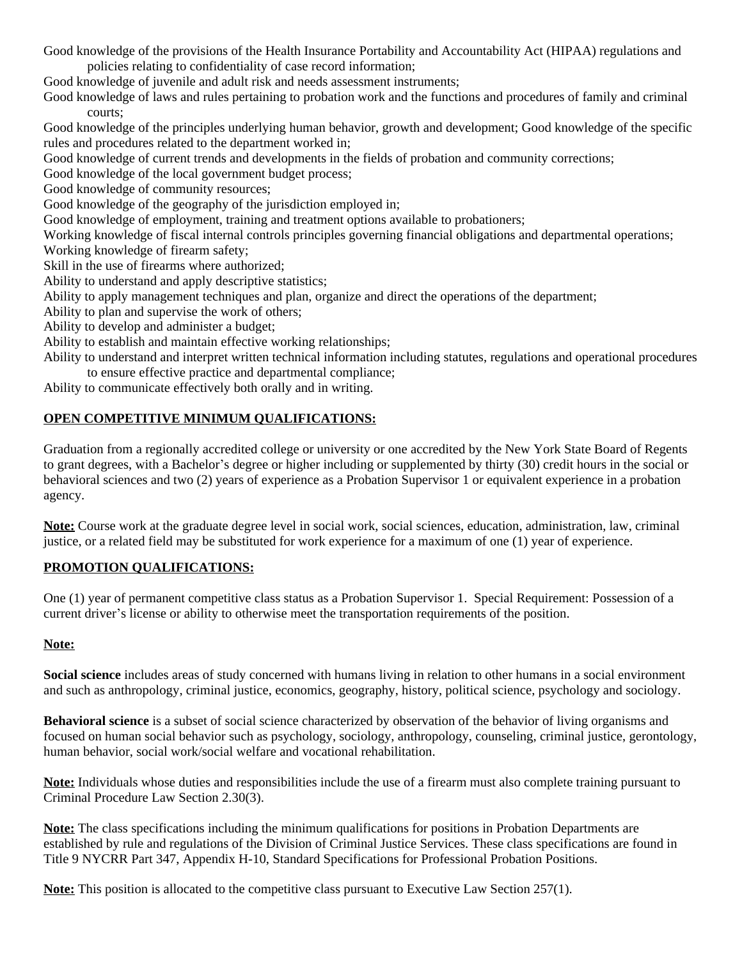Good knowledge of the provisions of the Health Insurance Portability and Accountability Act (HIPAA) regulations and policies relating to confidentiality of case record information;

Good knowledge of juvenile and adult risk and needs assessment instruments;

Good knowledge of laws and rules pertaining to probation work and the functions and procedures of family and criminal courts;

Good knowledge of the principles underlying human behavior, growth and development; Good knowledge of the specific rules and procedures related to the department worked in;

Good knowledge of current trends and developments in the fields of probation and community corrections;

Good knowledge of the local government budget process;

Good knowledge of community resources;

Good knowledge of the geography of the jurisdiction employed in;

Good knowledge of employment, training and treatment options available to probationers;

Working knowledge of fiscal internal controls principles governing financial obligations and departmental operations;

Working knowledge of firearm safety;

Skill in the use of firearms where authorized;

Ability to understand and apply descriptive statistics;

Ability to apply management techniques and plan, organize and direct the operations of the department;

Ability to plan and supervise the work of others;

Ability to develop and administer a budget;

Ability to establish and maintain effective working relationships;

Ability to understand and interpret written technical information including statutes, regulations and operational procedures to ensure effective practice and departmental compliance;

Ability to communicate effectively both orally and in writing.

### **OPEN COMPETITIVE MINIMUM QUALIFICATIONS:**

Graduation from a regionally accredited college or university or one accredited by the New York State Board of Regents to grant degrees, with a Bachelor's degree or higher including or supplemented by thirty (30) credit hours in the social or behavioral sciences and two (2) years of experience as a Probation Supervisor 1 or equivalent experience in a probation agency.

**Note:** Course work at the graduate degree level in social work, social sciences, education, administration, law, criminal justice, or a related field may be substituted for work experience for a maximum of one (1) year of experience.

### **PROMOTION QUALIFICATIONS:**

One (1) year of permanent competitive class status as a Probation Supervisor 1. Special Requirement: Possession of a current driver's license or ability to otherwise meet the transportation requirements of the position.

#### **Note:**

**Social science** includes areas of study concerned with humans living in relation to other humans in a social environment and such as anthropology, criminal justice, economics, geography, history, political science, psychology and sociology.

**Behavioral science** is a subset of social science characterized by observation of the behavior of living organisms and focused on human social behavior such as psychology, sociology, anthropology, counseling, criminal justice, gerontology, human behavior, social work/social welfare and vocational rehabilitation.

**Note:** Individuals whose duties and responsibilities include the use of a firearm must also complete training pursuant to Criminal Procedure Law Section 2.30(3).

**Note:** The class specifications including the minimum qualifications for positions in Probation Departments are established by rule and regulations of the Division of Criminal Justice Services. These class specifications are found in Title 9 NYCRR Part 347, Appendix H-10, Standard Specifications for Professional Probation Positions.

**Note:** This position is allocated to the competitive class pursuant to Executive Law Section 257(1).